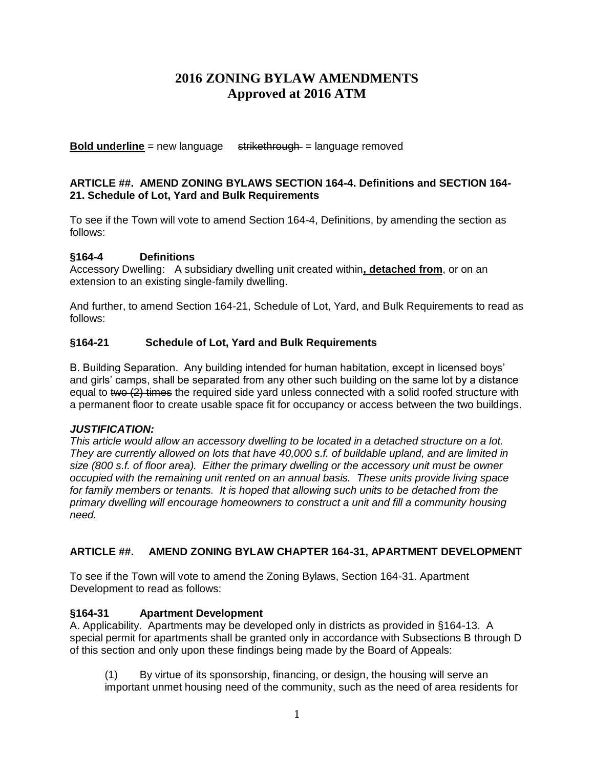# **2016 ZONING BYLAW AMENDMENTS Approved at 2016 ATM**

**Bold underline** = new language strikethrough = language removed

#### **ARTICLE ##. AMEND ZONING BYLAWS SECTION 164-4. Definitions and SECTION 164- 21. Schedule of Lot, Yard and Bulk Requirements**

To see if the Town will vote to amend Section 164-4, Definitions, by amending the section as follows:

## **§164-4 Definitions**

Accessory Dwelling: A subsidiary dwelling unit created within**, detached from**, or on an extension to an existing single-family dwelling.

And further, to amend Section 164-21, Schedule of Lot, Yard, and Bulk Requirements to read as follows:

## **§164-21 Schedule of Lot, Yard and Bulk Requirements**

B. Building Separation. Any building intended for human habitation, except in licensed boys' and girls' camps, shall be separated from any other such building on the same lot by a distance equal to two (2) times the required side yard unless connected with a solid roofed structure with a permanent floor to create usable space fit for occupancy or access between the two buildings.

#### *JUSTIFICATION:*

*This article would allow an accessory dwelling to be located in a detached structure on a lot. They are currently allowed on lots that have 40,000 s.f. of buildable upland, and are limited in size (800 s.f. of floor area). Either the primary dwelling or the accessory unit must be owner occupied with the remaining unit rented on an annual basis. These units provide living space*  for family members or tenants. It is hoped that allowing such units to be detached from the *primary dwelling will encourage homeowners to construct a unit and fill a community housing need.*

# **ARTICLE ##. AMEND ZONING BYLAW CHAPTER 164-31, APARTMENT DEVELOPMENT**

To see if the Town will vote to amend the Zoning Bylaws, Section 164-31. Apartment Development to read as follows:

#### **§164-31 Apartment Development**

A. Applicability.Apartments may be developed only in districts as provided in §164-13. A special permit for apartments shall be granted only in accordance with Subsections B through D of this section and only upon these findings being made by the Board of Appeals:

(1) By virtue of its sponsorship, financing, or design, the housing will serve an important unmet housing need of the community, such as the need of area residents for